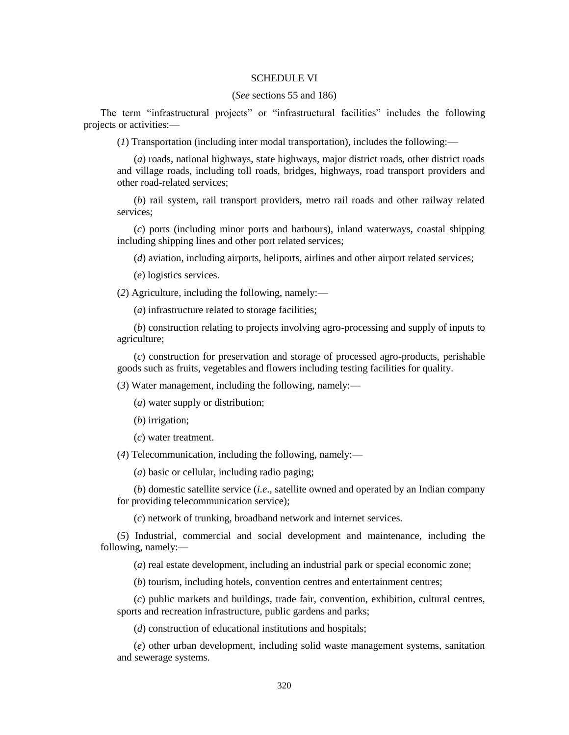## SCHEDULE VI

## (*See* sections 55 and 186)

The term "infrastructural projects" or "infrastructural facilities" includes the following projects or activities:—

(*1*) Transportation (including inter modal transportation), includes the following:—

(*a*) roads, national highways, state highways, major district roads, other district roads and village roads, including toll roads, bridges, highways, road transport providers and other road-related services;

(*b*) rail system, rail transport providers, metro rail roads and other railway related services;

(*c*) ports (including minor ports and harbours), inland waterways, coastal shipping including shipping lines and other port related services;

(*d*) aviation, including airports, heliports, airlines and other airport related services;

(*e*) logistics services.

(*2*) Agriculture, including the following, namely:—

(*a*) infrastructure related to storage facilities;

(*b*) construction relating to projects involving agro-processing and supply of inputs to agriculture;

(*c*) construction for preservation and storage of processed agro-products, perishable goods such as fruits, vegetables and flowers including testing facilities for quality.

(*3*) Water management, including the following, namely:—

(*a*) water supply or distribution;

(*b*) irrigation;

(*c*) water treatment.

(*4*) Telecommunication, including the following, namely:—

(*a*) basic or cellular, including radio paging;

(*b*) domestic satellite service (*i.e*., satellite owned and operated by an Indian company for providing telecommunication service);

(*c*) network of trunking, broadband network and internet services.

(*5*) Industrial, commercial and social development and maintenance, including the following, namely:—

(*a*) real estate development, including an industrial park or special economic zone;

(*b*) tourism, including hotels, convention centres and entertainment centres;

(*c*) public markets and buildings, trade fair, convention, exhibition, cultural centres, sports and recreation infrastructure, public gardens and parks;

(*d*) construction of educational institutions and hospitals;

(*e*) other urban development, including solid waste management systems, sanitation and sewerage systems.